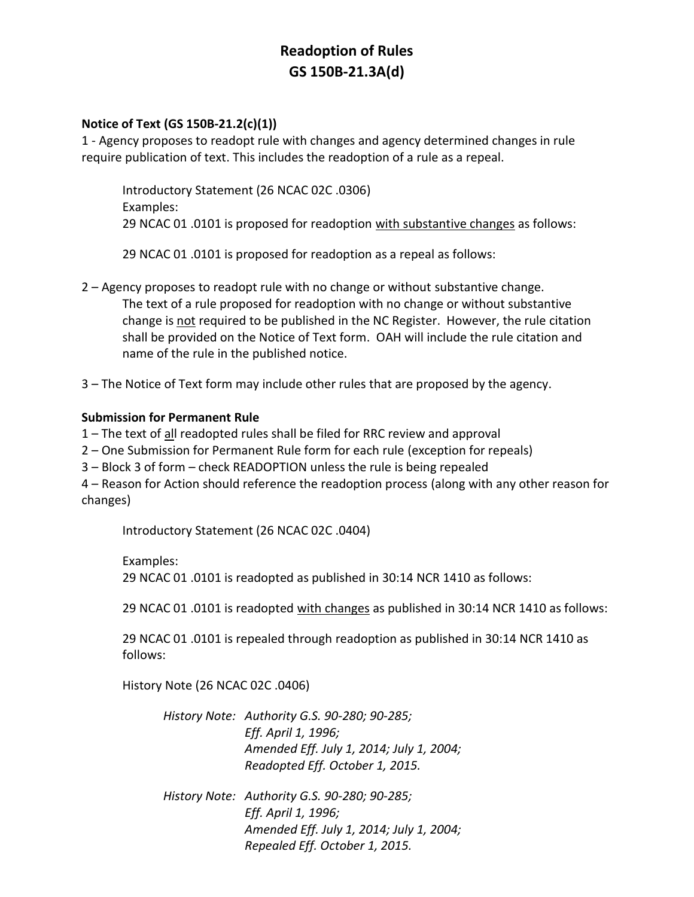## **Readoption of Rules GS 150B-21.3A(d)**

## **Notice of Text (GS 150B-21.2(c)(1))**

1 - Agency proposes to readopt rule with changes and agency determined changes in rule require publication of text. This includes the readoption of a rule as a repeal.

Introductory Statement (26 NCAC 02C .0306) Examples: 29 NCAC 01 .0101 is proposed for readoption with substantive changes as follows:

29 NCAC 01 .0101 is proposed for readoption as a repeal as follows:

- 2 Agency proposes to readopt rule with no change or without substantive change. The text of a rule proposed for readoption with no change or without substantive change is not required to be published in the NC Register. However, the rule citation shall be provided on the Notice of Text form. OAH will include the rule citation and name of the rule in the published notice.
- 3 The Notice of Text form may include other rules that are proposed by the agency.

## **Submission for Permanent Rule**

- 1 The text of all readopted rules shall be filed for RRC review and approval
- 2 One Submission for Permanent Rule form for each rule (exception for repeals)
- 3 Block 3 of form check READOPTION unless the rule is being repealed

4 – Reason for Action should reference the readoption process (along with any other reason for changes)

Introductory Statement (26 NCAC 02C .0404)

Examples: 29 NCAC 01 .0101 is readopted as published in 30:14 NCR 1410 as follows:

29 NCAC 01 .0101 is readopted with changes as published in 30:14 NCR 1410 as follows:

29 NCAC 01 .0101 is repealed through readoption as published in 30:14 NCR 1410 as follows:

History Note (26 NCAC 02C .0406)

| History Note: Authority G.S. 90-280; 90-285; |
|----------------------------------------------|
| Eff. April 1, 1996;                          |
| Amended Eff. July 1, 2014; July 1, 2004;     |
| Readopted Eff. October 1, 2015.              |
| History Note: Authority G.S. 90-280; 90-285; |

*Eff. April 1, 1996; Amended Eff. July 1, 2014; July 1, 2004; Repealed Eff. October 1, 2015.*